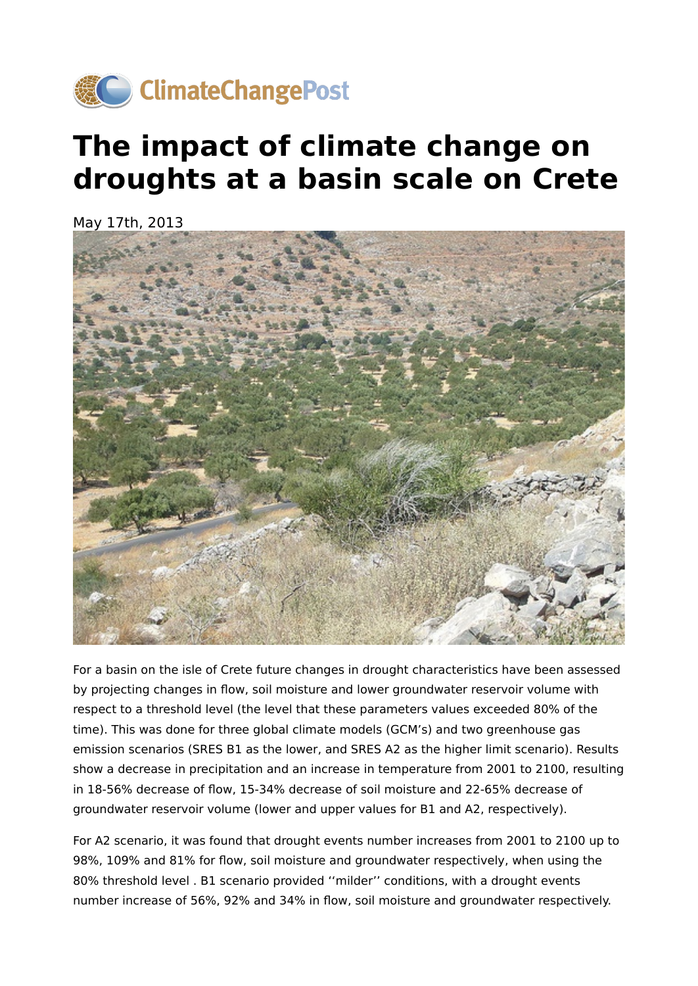

## **The impact of climate change on droughts at a basin scale on Crete**

May 17th, 2013



For a basin on the isle of Crete future changes in drought characteristics have been assessed by projecting changes in flow, soil moisture and lower groundwater reservoir volume with respect to a threshold level (the level that these parameters values exceeded 80% of the time). This was done for three global climate models (GCM's) and two greenhouse gas emission scenarios (SRES B1 as the lower, and SRES A2 as the higher limit scenario). Results show a decrease in precipitation and an increase in temperature from 2001 to 2100, resulting in 18-56% decrease of flow, 15-34% decrease of soil moisture and 22-65% decrease of groundwater reservoir volume (lower and upper values for B1 and A2, respectively).

For A2 scenario, it was found that drought events number increases from 2001 to 2100 up to 98%, 109% and 81% for flow, soil moisture and groundwater respectively, when using the 80% threshold level . B1 scenario provided ''milder'' conditions, with a drought events number increase of 56%, 92% and 34% in flow, soil moisture and groundwater respectively.